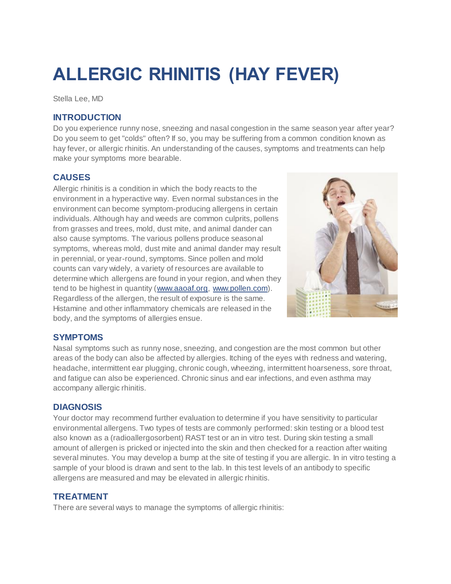# **ALLERGIC RHINITIS (HAY FEVER)**

Stella Lee, MD

## **INTRODUCTION**

Do you experience runny nose, sneezing and nasal congestion in the same season year after year? Do you seem to get "colds" often? If so, you may be suffering from a common condition known as hay fever, or allergic rhinitis. An understanding of the causes, symptoms and treatments can help make your symptoms more bearable.

## **CAUSES**

Allergic rhinitis is a condition in which the body reacts to the environment in a hyperactive way. Even normal substances in the environment can become symptom-producing allergens in certain individuals. Although hay and weeds are common culprits, pollens from grasses and trees, mold, dust mite, and animal dander can also cause symptoms. The various pollens produce seasonal symptoms, whereas mold, dust mite and animal dander may result in perennial, or year-round, symptoms. Since pollen and mold counts can vary widely, a variety of resources are available to determine which allergens are found in your region, and when they tend to be highest in quantity [\(www.aaoaf.org,](http://www.aaoaf.org/) [www.pollen.com\)](http://www.pollen.com/). Regardless of the allergen, the result of exposure is the same. Histamine and other inflammatory chemicals are released in the body, and the symptoms of allergies ensue.



## **SYMPTOMS**

Nasal symptoms such as runny nose, sneezing, and congestion are the most common but other areas of the body can also be affected by allergies. Itching of the eyes with redness and watering, headache, intermittent ear plugging, chronic cough, wheezing, intermittent hoarseness, sore throat, and fatigue can also be experienced. Chronic sinus and ear infections, and even asthma may accompany allergic rhinitis.

## **DIAGNOSIS**

Your doctor may recommend further evaluation to determine if you have sensitivity to particular environmental allergens. Two types of tests are commonly performed: skin testing or a blood test also known as a (radioallergosorbent) RAST test or an in vitro test. During skin testing a small amount of allergen is pricked or injected into the skin and then checked for a reaction after waiting several minutes. You may develop a bump at the site of testing if you are allergic. In in vitro testing a sample of your blood is drawn and sent to the lab. In this test levels of an antibody to specific allergens are measured and may be elevated in allergic rhinitis.

## **TREATMENT**

There are several ways to manage the symptoms of allergic rhinitis: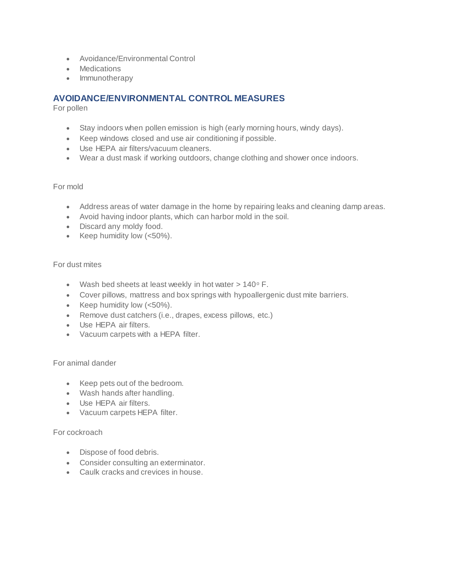- Avoidance/Environmental Control
- Medications
- Immunotherapy

# **AVOIDANCE/ENVIRONMENTAL CONTROL MEASURES**

For pollen

- Stay indoors when pollen emission is high (early morning hours, windy days).
- Keep windows closed and use air conditioning if possible.
- Use HEPA air filters/vacuum cleaners.
- Wear a dust mask if working outdoors, change clothing and shower once indoors.

#### For mold

- Address areas of water damage in the home by repairing leaks and cleaning damp areas.
- Avoid having indoor plants, which can harbor mold in the soil.
- Discard any moldy food.
- Exerc<br/>ive Keep humidity low  $(<50\%)$ .

### For dust mites

- Wash bed sheets at least weekly in hot water  $> 140^{\circ}$  F.
- Cover pillows, mattress and box springs with hypoallergenic dust mite barriers.
- Exerc<br/>ive Keep humidity low  $(<50\%)$ .
- Remove dust catchers (i.e., drapes, excess pillows, etc.)
- Use HEPA air filters.
- Vacuum carpets with a HEPA filter.

#### For animal dander

- Keep pets out of the bedroom.
- Wash hands after handling.
- Use HEPA air filters.
- Vacuum carpets HEPA filter.

#### For cockroach

- Dispose of food debris.
- Consider consulting an exterminator.
- Caulk cracks and crevices in house.